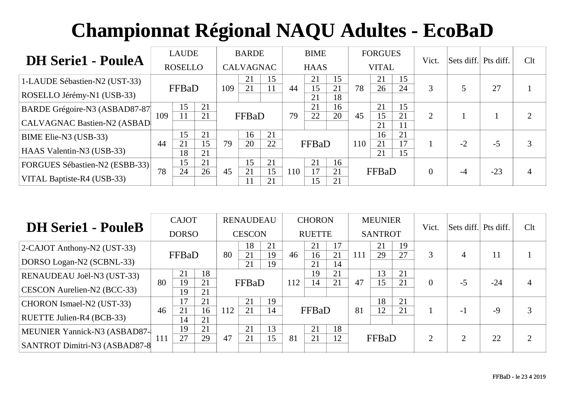| <b>DH Serie1 - PouleA</b>      |     | <b>LAUDE</b>   |          |     | <b>BARDE</b>     |          |     | <b>BIME</b> |          |     | <b>FORGUES</b> |          | Vict.    | Sets diff. Pts diff. |       | Clt |
|--------------------------------|-----|----------------|----------|-----|------------------|----------|-----|-------------|----------|-----|----------------|----------|----------|----------------------|-------|-----|
|                                |     | <b>ROSELLO</b> |          |     | <b>CALVAGNAC</b> |          |     | <b>HAAS</b> |          |     | <b>VITAL</b>   |          |          |                      |       |     |
| 1-LAUDE Sébastien-N2 (UST-33)  |     |                |          |     | 21               | 15       |     | 21          | 15       |     | 21             | 15       |          |                      |       |     |
| ROSELLO Jérémy-N1 (USB-33)     |     | FFBaD          |          | 109 | 21               |          | 44  | 15<br>21    | 21<br>18 | 78  | 26             | 24       | 3        |                      | 27    |     |
| BARDE Grégoire-N3 (ASBAD87-87  |     | 15             | 21       |     |                  |          |     | 21          | 16       |     | 21             | 15       |          |                      |       |     |
| CALVAGNAC Bastien-N2 (ASBAD    | 109 |                | 21       |     | FFBaD            |          | 79  | 22          | 20       | 45  | 15<br>21       | 21<br>11 | 2        |                      |       |     |
| BIME Elie-N3 (USB-33)          |     | 15             | 21       |     | 16               | 21       |     |             |          |     | 16             | 21       |          |                      |       |     |
| HAAS Valentin-N3 (USB-33)      | 44  | 21<br>18       | 15<br>21 | 79  | 20               | 22       |     | FFBaD       |          | 110 | 21<br>21       | 17<br>15 |          | $-2$                 | $-5$  |     |
| FORGUES Sébastien-N2 (ESBB-33) |     | 15             | 21       |     | 15               | 21       |     | 21          | 16       |     |                |          |          |                      |       |     |
| VITAL Baptiste-R4 (USB-33)     | 78  | 24             | 26       | 45  | 21               | 15<br>21 | 110 | 17<br>l 5   | 21<br>21 |     | FFBaD          |          | $\theta$ |                      | $-23$ |     |

| <b>DH Serie1 - PouleB</b>     |     | <b>CAJOT</b> |          |     | <b>RENAUDEAU</b> |          |     | <b>CHORON</b> |          |     | <b>MEUNIER</b> |    | Vict.          | Sets diff. Pts diff. |       | Clt |
|-------------------------------|-----|--------------|----------|-----|------------------|----------|-----|---------------|----------|-----|----------------|----|----------------|----------------------|-------|-----|
|                               |     | <b>DORSO</b> |          |     | <b>CESCON</b>    |          |     | <b>RUETTE</b> |          |     | <b>SANTROT</b> |    |                |                      |       |     |
| 2-CAJOT Anthony-N2 (UST-33)   |     |              |          |     | 18               | 21       |     | 21            | 17       |     | 21             | 19 |                |                      |       |     |
| DORSO Logan-N2 (SCBNL-33)     |     | FFBaD        |          | 80  | 21<br>21         | 19<br>19 | 46  | 16<br>21      | 21<br>14 | 111 | 29             | 27 | 3              |                      | 11    |     |
| RENAUDEAU Joël-N3 (UST-33)    |     | 21           | 18       |     |                  |          |     | 19            | 21       |     | 13             | 21 |                |                      |       |     |
| CESCON Aurelien-N2 (BCC-33)   | 80  | 19<br>19     | 21<br>21 |     | FFBaD            |          | 112 | 14            | 21       | 47  | 15             | 21 | $\overline{0}$ | -5                   | $-24$ |     |
| CHORON Ismael-N2 (UST-33)     |     | 17           | 21       |     | 21               | 19       |     |               |          |     | 18             | 21 |                |                      |       |     |
| RUETTE Julien-R4 (BCB-33)     | 46  | 21<br>14     | 16<br>21 | 112 | 21               | 14       |     | FFBaD         |          | 81  | 12             | 21 |                | $-1$                 | $-9$  | 3   |
| MEUNIER Yannick-N3 (ASBAD87-  |     | 19           | 21       |     | 21               | 13       |     | 21            | 18       |     |                |    |                |                      |       |     |
| SANTROT Dimitri-N3 (ASBAD87-8 | 111 | 27           | 29       | 47  | 21               | 15       | 81  | 21            | 12       |     | FFBaD          |    | $\overline{2}$ |                      | 22    | ി   |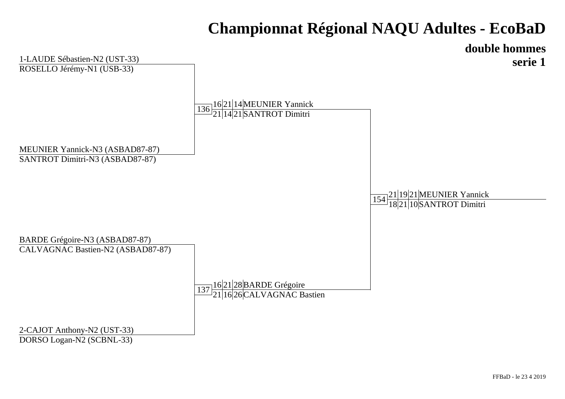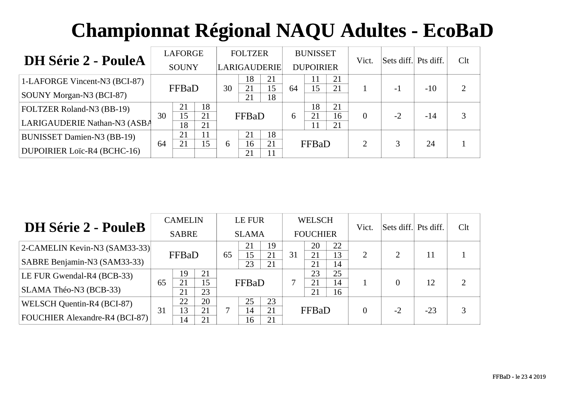| <b>DH Série 2 - PouleA</b>        |    | <b>LAFORGE</b> |          |    | <b>FOLTZER</b> |                     |    | <b>BUNISSET</b>  |          | Vict.    | Sets diff. Pts diff. |       | Clt |
|-----------------------------------|----|----------------|----------|----|----------------|---------------------|----|------------------|----------|----------|----------------------|-------|-----|
|                                   |    | <b>SOUNY</b>   |          |    |                | <b>LARIGAUDERIE</b> |    | <b>DUPOIRIER</b> |          |          |                      |       |     |
| 1-LAFORGE Vincent-N3 (BCI-87)     |    | FFBaD          |          | 30 | 18<br>21       | 21<br>15            | 64 | 11<br>15         | 21<br>21 |          |                      | $-10$ |     |
| SOUNY Morgan-N3 (BCI-87)          |    |                |          |    | 21             | 18                  |    |                  |          |          | $-1$                 |       |     |
| <b>FOLTZER Roland-N3 (BB-19)</b>  | 30 | 21<br>15       | 18       |    |                |                     |    | 18               | 21       |          |                      |       |     |
| LARIGAUDERIE Nathan-N3 (ASBA      |    | 18             | 21<br>21 |    | FFBaD          |                     | 6  | 21<br>11         | 16<br>21 | $\Omega$ | $-2$                 | $-14$ |     |
| <b>BUNISSET Damien-N3 (BB-19)</b> |    | 21             | 11       |    | 21             | 18                  |    |                  |          |          |                      |       |     |
| DUPOIRIER Loïc-R4 (BCHC-16)       | 64 | 21             | 15       | 6  | 16<br>21       | 21                  |    | FFBaD            |          | ↑        |                      | 24    |     |

| <b>DH Série 2 - PouleB</b>     |    | <b>CAMELIN</b> |          |    | LE FUR       |          |    | <b>WELSCH</b>   |          | Vict. | Sets diff. Pts diff. |       | Clt |
|--------------------------------|----|----------------|----------|----|--------------|----------|----|-----------------|----------|-------|----------------------|-------|-----|
|                                |    | <b>SABRE</b>   |          |    | <b>SLAMA</b> |          |    | <b>FOUCHIER</b> |          |       |                      |       |     |
| 2-CAMELIN Kevin-N3 (SAM33-33)  |    |                |          |    | 21           | 19       |    | 20              | 22       |       |                      |       |     |
| SABRE Benjamin-N3 (SAM33-33)   |    | FFBaD          |          | 65 | 15<br>23     | 21<br>21 | 31 | 21<br>21        | 13<br>14 | 2     | 2                    | 11    |     |
| LE FUR Gwendal-R4 (BCB-33)     |    | 19             | 21       |    |              |          |    | 23              | 25       |       |                      |       |     |
| SLAMA Théo-N3 (BCB-33)         | 65 | 21<br>21       | 15<br>23 |    | FFBaD        |          | ⇁  | 21<br>21        | 14<br>16 |       |                      | 12    | 2   |
| WELSCH Quentin-R4 (BCI-87)     |    | 22             | 20       |    | 25           | 23       |    |                 |          |       |                      |       |     |
| FOUCHIER Alexandre-R4 (BCI-87) | 31 | 13<br>14       | 21<br>21 |    | 14<br>16     | 21<br>21 |    | FFBaD           |          |       | $-2$                 | $-23$ | 3   |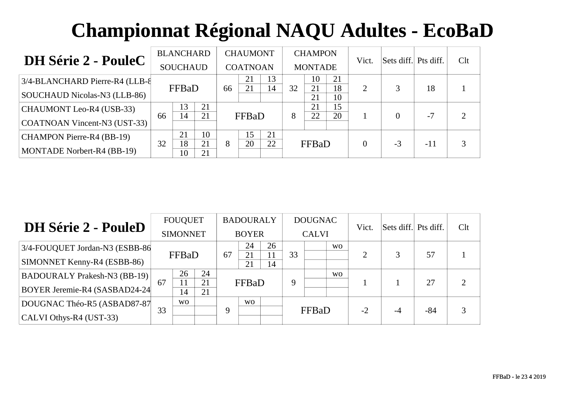| <b>DH Série 2 - PouleC</b>      |    | <b>BLANCHARD</b> |          |    | <b>CHAUMONT</b> |    |    | <b>CHAMPON</b> |          | Vict.    | Sets diff. Pts diff. |       | Clt |
|---------------------------------|----|------------------|----------|----|-----------------|----|----|----------------|----------|----------|----------------------|-------|-----|
|                                 |    | <b>SOUCHAUD</b>  |          |    | <b>COATNOAN</b> |    |    | <b>MONTADE</b> |          |          |                      |       |     |
| 3/4-BLANCHARD Pierre-R4 (LLB-8) |    |                  |          |    | 21              | 13 |    | 10             | 21       |          |                      |       |     |
| SOUCHAUD Nicolas-N3 (LLB-86)    |    | FFBaD            |          | 66 | 21              | 14 | 32 | 21<br>21       | 18<br>10 | 2        |                      | 18    |     |
| CHAUMONT Leo-R4 (USB-33)        |    | 13               | 21       |    |                 |    |    | 21             | 15       |          |                      |       |     |
| COATNOAN Vincent-N3 (UST-33)    | 66 | 14               | 21       |    | FFBaD           |    | 8  | 22             | 20       |          | $\Omega$             | $-7$  |     |
| CHAMPON Pierre-R4 (BB-19)       |    | 21               | 10       |    | 15              | 21 |    |                |          |          |                      |       |     |
| MONTADE Norbert-R4 (BB-19)      | 32 | 18<br>10         | 21<br>21 | 8  | 20              | 22 |    | FFBaD          |          | $\theta$ | $-3$                 | $-11$ |     |

| <b>DH Série 2 - PouleD</b>                                           |    | <b>FOUQUET</b><br><b>SIMONNET</b> |                |    | <b>BADOURALY</b><br><b>BOYER</b> |          |    | <b>DOUGNAC</b><br><b>CALVI</b> |                | Vict.          | Sets diff. Pts diff. |       | Clt |
|----------------------------------------------------------------------|----|-----------------------------------|----------------|----|----------------------------------|----------|----|--------------------------------|----------------|----------------|----------------------|-------|-----|
| 3/4-FOUQUET Jordan-N3 (ESBB-86<br>SIMONNET Kenny-R4 (ESBB-86)        |    | FFBaD                             |                | 67 | 24<br>21                         | 26<br>14 | 33 |                                | WO.            | $\overline{2}$ | 3                    | 57    |     |
| <b>BADOURALY Prakesh-N3 (BB-19)</b><br>BOYER Jeremie-R4 (SASBAD24-24 | 67 | 26<br>11<br>14                    | 24<br>21<br>21 |    | FFBaD                            |          | 9  |                                | W <sub>O</sub> |                |                      | 27    |     |
| DOUGNAC Théo-R5 (ASBAD87-87<br>$ CALVI$ Othys-R4 (UST-33)            | 33 | W <sub>O</sub>                    |                | 9  | W <sub>O</sub>                   |          |    | FFBaD                          |                | $-2$           | $-4$                 | $-84$ |     |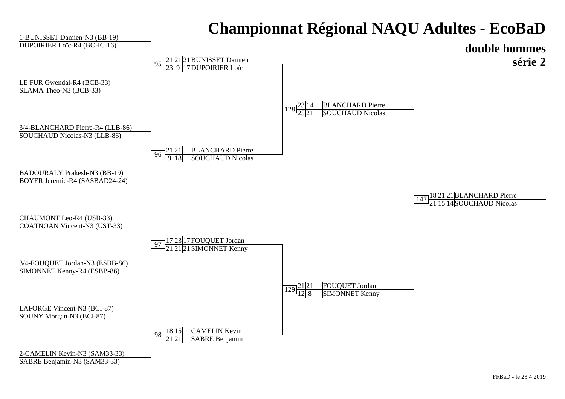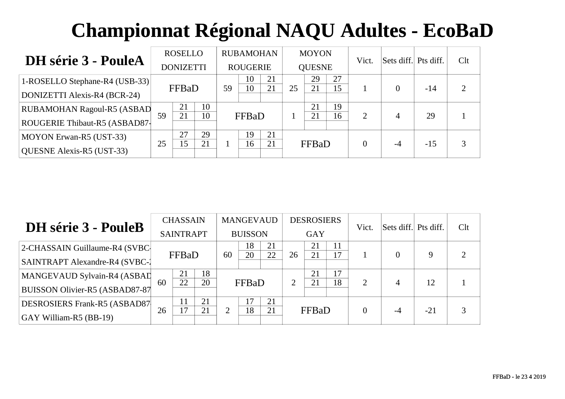| <b>DH</b> série 3 - PouleA        |    | <b>ROSELLO</b>   |          |    | <b>RUBAMOHAN</b> |          |    | <b>MOYON</b>  |          | Vict.                 | Sets diff. Pts diff. |       | Clt |
|-----------------------------------|----|------------------|----------|----|------------------|----------|----|---------------|----------|-----------------------|----------------------|-------|-----|
|                                   |    | <b>DONIZETTI</b> |          |    | <b>ROUGERIE</b>  |          |    | <b>QUESNE</b> |          |                       |                      |       |     |
| 1-ROSELLO Stephane-R4 (USB-33)    |    | FFBaD            |          | 59 | 10<br>10         | 21<br>21 | 25 | 29<br>21      | 27<br>15 |                       |                      | $-14$ |     |
| DONIZETTI Alexis-R4 (BCR-24)      |    |                  |          |    |                  |          |    |               |          |                       |                      |       |     |
| <b>RUBAMOHAN Ragoul-R5 (ASBAD</b> | 59 | 21<br>21         | 10<br>10 |    | FFBaD            |          |    | 21<br>21      | 19<br>16 | $\mathcal{D}_{\cdot}$ | 4                    | 29    |     |
| ROUGERIE Thibaut-R5 (ASBAD87-     |    |                  |          |    |                  |          |    |               |          |                       |                      |       |     |
| MOYON Erwan-R5 (UST-33)           |    | 27               | 29       |    | 19               | 21       |    |               |          |                       |                      |       |     |
| QUESNE Alexis-R5 (UST-33)         | 25 | 15               | 21       |    | 16               | 21       |    | FFBaD         |          | 0                     | $-4$                 | $-15$ |     |

| DH série 3 - PouleB                    |    | <b>CHASSAIN</b>  |    |    | <b>MANGEVAUD</b> |    |                | <b>DESROSIERS</b> |          | Vict.    | Sets diff. Pts diff. |       | Clt            |
|----------------------------------------|----|------------------|----|----|------------------|----|----------------|-------------------|----------|----------|----------------------|-------|----------------|
|                                        |    | <b>SAINTRAPT</b> |    |    | <b>BUISSON</b>   |    |                | <b>GAY</b>        |          |          |                      |       |                |
| 2-CHASSAIN Guillaume-R4 (SVBC          |    |                  |    |    | 18               | 21 |                | 21                | 11<br>17 |          | $\Omega$             | 9     | $\overline{2}$ |
| <b>SAINTRAPT Alexandre-R4 (SVBC-1)</b> |    | FFBaD            |    | 60 | 20               | 22 | 26             | 21                |          |          |                      |       |                |
| MANGEVAUD Sylvain-R4 (ASBAI            |    | 21               | 18 |    |                  |    |                | 21                | 17       |          |                      |       |                |
| BUISSON Olivier-R5 (ASBAD87-87         | 60 | 22               | 20 |    | FFBaD            |    | $\overline{2}$ | 21                | 18       | 2        | $\overline{4}$       | 12    |                |
| <b>DESROSIERS Frank-R5 (ASBAD87)</b>   |    | 11               | 21 |    | 17               | 21 |                |                   |          |          |                      |       |                |
| GAY William-R5 (BB-19)                 | 26 | 17               | 21 | ∍  | 18               | 21 |                | FFBaD             |          | $\Omega$ | -4                   | $-21$ | 3              |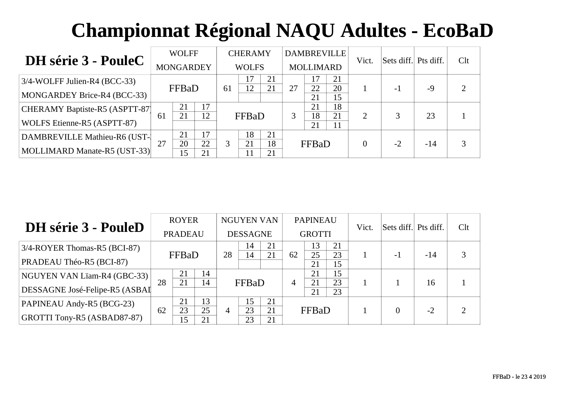| <b>DH</b> série 3 - PouleC      |    | <b>WOLFF</b>     |          |    | <b>CHERAMY</b> |          |    | <b>DAMBREVILLE</b> |          | Vict.                 | Sets diff. Pts diff. |       | Clt |
|---------------------------------|----|------------------|----------|----|----------------|----------|----|--------------------|----------|-----------------------|----------------------|-------|-----|
|                                 |    | <b>MONGARDEY</b> |          |    | <b>WOLFS</b>   |          |    | <b>MOLLIMARD</b>   |          |                       |                      |       |     |
| $3/4$ -WOLFF Julien-R4 (BCC-33) |    |                  |          |    |                | 21       |    | 17                 | 21       |                       |                      |       |     |
| MONGARDEY Brice-R4 (BCC-33)     |    | FFBaD            |          | 61 | 12             | 21       | 27 | 22<br>21           | 20<br>15 |                       | $-1$                 | $-9$  |     |
| CHERAMY Baptiste-R5 (ASPTT-87)  |    | 21               | 17       |    |                |          |    | 21                 | 18       |                       |                      |       |     |
| WOLFS Etienne-R5 (ASPTT-87)     | 61 | 21               | 12       |    | FFBaD          |          | 3  | 18<br>21           | 21<br>11 | $\mathcal{D}_{\cdot}$ | 3                    | 23    |     |
| DAMBREVILLE Mathieu-R6 (UST-    |    | 21               | 17       |    | 18             | 21       |    |                    |          |                       |                      |       |     |
| MOLLIMARD Manate-R5 (UST-33)    | 27 | 20<br>15         | 22<br>21 | 3  | 21             | 18<br>21 |    | FFBaD              |          | 0                     | $-2$                 | $-14$ |     |

| DH série 3 - PouleD                |    | <b>ROYER</b>   |          |    | <b>NGUYEN VAN</b> |          |                | <b>PAPINEAU</b> |          | Vict. | Sets diff. Pts diff. |       | Clt            |
|------------------------------------|----|----------------|----------|----|-------------------|----------|----------------|-----------------|----------|-------|----------------------|-------|----------------|
|                                    |    | <b>PRADEAU</b> |          |    | <b>DESSAGNE</b>   |          |                | <b>GROTTI</b>   |          |       |                      |       |                |
| $3/4$ -ROYER Thomas-R5 (BCI-87)    |    |                |          |    | 14                | 21       |                | 13              | 21       |       |                      |       |                |
| PRADEAU Théo-R5 (BCI-87)           |    | FFBaD          |          | 28 | 14                | 21       | 62             | 25<br>21        | 23<br>15 |       | -1                   | $-14$ | 3              |
| NGUYEN VAN Lïam-R4 (GBC-33)        |    | 21             | 14       |    |                   |          |                | 21              | 15       |       |                      |       |                |
| DESSAGNE José-Felipe-R5 (ASBAI     | 28 | 21             | 14       |    | FFBaD             |          | $\overline{4}$ | 21<br>21        | 23<br>23 |       |                      | 16    |                |
| PAPINEAU Andy-R5 (BCG-23)          |    | 21             | 13       |    | 15                | 21       |                |                 |          |       |                      |       |                |
| <b>GROTTI Tony-R5 (ASBAD87-87)</b> | 62 | 23<br>15       | 25<br>21 | 4  | 23<br>23          | 21<br>21 |                | FFBaD           |          |       | 0                    | $-2$  | $\overline{2}$ |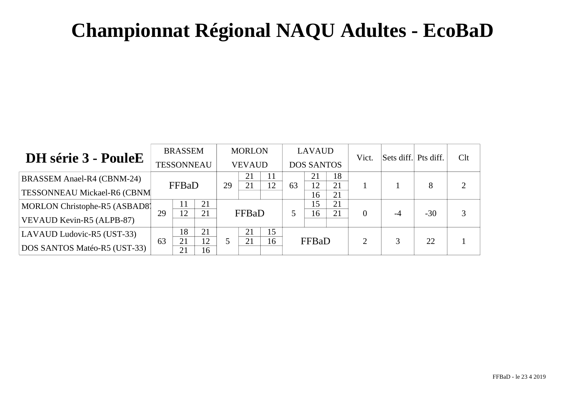|                                    |    | <b>BRASSEM</b>    |    |    | <b>MORLON</b> |          |    | <b>LAVAUD</b>     |          | Vict.          | Sets diff. Pts diff. |       | Clt |
|------------------------------------|----|-------------------|----|----|---------------|----------|----|-------------------|----------|----------------|----------------------|-------|-----|
| <b>DH</b> série 3 - PouleE         |    | <b>TESSONNEAU</b> |    |    | <b>VEVAUD</b> |          |    | <b>DOS SANTOS</b> |          |                |                      |       |     |
| BRASSEM Anael-R4 (CBNM-24)         |    |                   |    |    | 21<br>21      | 11<br>12 |    | 21                | 18       |                |                      |       | ∍   |
| <b>TESSONNEAU Mickael-R6 (CBNM</b> |    | FFBaD             |    | 29 |               |          | 63 | 12<br>16          | 21<br>21 |                |                      |       |     |
| MORLON Christophe-R5 (ASBAD8)      |    | 11                | 21 |    |               |          |    | 15                | 21       |                |                      |       |     |
| VEVAUD Kevin-R5 (ALPB-87)          | 29 | 12                | 21 |    | FFBaD         |          |    | 16                | 21       | $\overline{0}$ | $-4$                 | $-30$ |     |
| LAVAUD Ludovic-R5 (UST-33)         |    | 18                | 21 |    | 21            | 15       |    |                   |          |                |                      |       |     |
| DOS SANTOS Matéo-R5 (UST-33)       | 63 | 21                | 12 |    | 21            | 16       |    | FFBaD             |          | ↑              |                      | 22    |     |
|                                    |    | 21                | 16 |    |               |          |    |                   |          |                |                      |       |     |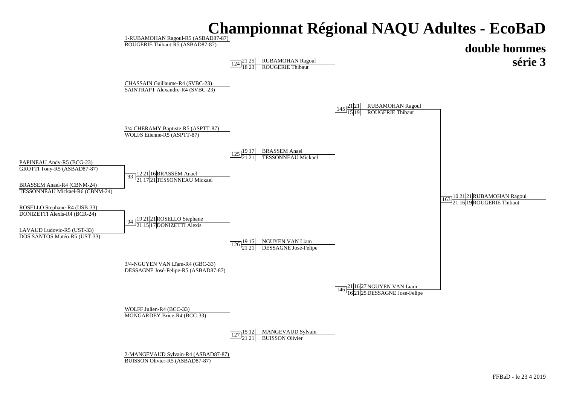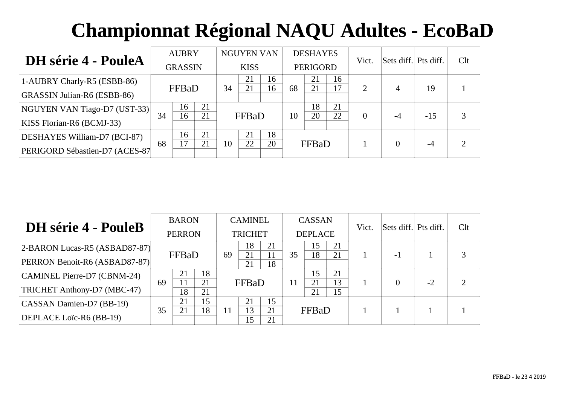| <b>DH</b> série 4 - PouleA         |    | <b>AUBRY</b>   |    |    | <b>NGUYEN VAN</b> |    |    | <b>DESHAYES</b> |    | Vict.    | Sets diff. Pts diff. |       | Clt |
|------------------------------------|----|----------------|----|----|-------------------|----|----|-----------------|----|----------|----------------------|-------|-----|
|                                    |    | <b>GRASSIN</b> |    |    | <b>KISS</b>       |    |    | <b>PERIGORD</b> |    |          |                      |       |     |
| 1-AUBRY Charly-R5 (ESBB-86)        |    |                |    |    | 21                | 16 |    | 21              | 16 |          |                      |       |     |
| <b>GRASSIN Julian-R6 (ESBB-86)</b> |    | FFBaD          |    | 34 | 21                | 16 | 68 | 21              | 17 | 2        | $\overline{4}$       | 19    |     |
| NGUYEN VAN Tiago-D7 (UST-33)       |    | 16             | 21 |    |                   |    |    | 18              | 21 |          |                      |       |     |
| KISS Florian-R6 (BCMJ-33)          | 34 | 16             | 21 |    | FFBaD             |    | 10 | 20              | 22 | $\Omega$ | $-4$                 | $-15$ |     |
| DESHAYES William-D7 (BCI-87)       |    | 16             | 21 |    |                   | 18 |    |                 |    |          |                      |       |     |
| PERIGORD Sébastien-D7 (ACES-87     | 68 | 17             | 21 | 10 | 22                | 20 |    | FFBaD           |    |          |                      | -4    |     |

| <b>DH</b> série 4 - PouleB         | <b>BARON</b>  |          |          | <b>CAMINEL</b> |          |          | CASSAN         |          |          | Vict. | Sets diff. Pts diff. |      | Clt |
|------------------------------------|---------------|----------|----------|----------------|----------|----------|----------------|----------|----------|-------|----------------------|------|-----|
|                                    | <b>PERRON</b> |          |          | <b>TRICHET</b> |          |          | <b>DEPLACE</b> |          |          |       |                      |      |     |
| 2-BARON Lucas-R5 (ASBAD87-87)      |               |          |          |                | 18       | 21       |                | 15       | 21       |       |                      |      |     |
| PERRON Benoit-R6 (ASBAD87-87)      |               | FFBaD    |          | 69             | 21<br>21 | 18       | 35             | 18       | 21       |       | $-1$                 |      |     |
| <b>CAMINEL Pierre-D7 (CBNM-24)</b> |               | 21       | 18       |                |          |          |                | 15       | 21       |       |                      |      |     |
| TRICHET Anthony-D7 (MBC-47)        | 69            | 11<br>18 | 21<br>21 |                | FFBaD    |          | 11             | 21<br>21 | 13<br>15 |       | 0                    | $-2$ |     |
| CASSAN Damien-D7 (BB-19)           |               | 21       | 15       |                | 21       | 15       |                |          |          |       |                      |      |     |
| DEPLACE Loïc-R6 (BB-19)            | 35            | 21       | 18       | 11             | 13<br>15 | 21<br>21 | <b>FFBaD</b>   |          |          |       |                      |      |     |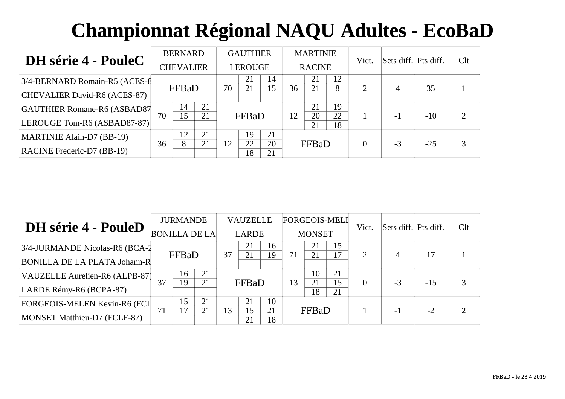| <b>DH</b> série 4 - PouleC          |                  | <b>BERNARD</b>      |    |                | <b>GAUTHIER</b> |          | <b>MARTINIE</b> |          |          | Vict. | Sets diff. Pts diff. |       | Clt |
|-------------------------------------|------------------|---------------------|----|----------------|-----------------|----------|-----------------|----------|----------|-------|----------------------|-------|-----|
|                                     | <b>CHEVALIER</b> |                     |    | <b>LEROUGE</b> |                 |          | <b>RACINE</b>   |          |          |       |                      |       |     |
| 3/4-BERNARD Romain-R5 (ACES-8)      |                  | FFBaD               |    | 70             | 21<br>21        | 14<br>15 | 36              | 21<br>21 | 12<br>8  | 2     |                      | 35    |     |
| CHEVALIER David-R6 (ACES-87)        |                  |                     |    |                |                 |          |                 |          |          |       | 4                    |       |     |
| <b>GAUTHIER Romane-R6 (ASBAD87)</b> |                  | 14                  | 21 |                |                 |          |                 | 21       | 19       |       |                      |       |     |
| LEROUGE Tom-R6 (ASBAD87-87)         | 70               | 15                  | 21 |                | FFBaD           |          | 12              | 20<br>21 | 22<br>18 |       | $-1$                 | $-10$ |     |
| MARTINIE Alain-D7 (BB-19)           |                  | 12                  | 21 |                | 19              | 21       |                 |          |          |       |                      |       |     |
| <b>RACINE Frederic-D7 (BB-19)</b>   |                  | 21<br>36<br>12<br>8 |    |                | 22<br>18        | 20<br>21 |                 | FFBaD    |          | 0     | $-3$                 | $-25$ |     |

|                                     | <b>JURMANDE</b> |       |                      |              | <b>VAUZELLE</b> |          | <b>FORGEOIS-MELI</b> |          |                       | Vict.          | Sets diff. Pts diff. |       | Clt |
|-------------------------------------|-----------------|-------|----------------------|--------------|-----------------|----------|----------------------|----------|-----------------------|----------------|----------------------|-------|-----|
| DH série 4 - PouleD                 |                 |       | <b>BONILLA DE LA</b> | <b>LARDE</b> |                 |          | <b>MONSET</b>        |          |                       |                |                      |       |     |
| 3/4-JURMANDE Nicolas-R6 (BCA-2      |                 | FFBaD |                      | 37           | 21<br>21        | 16<br>19 | 71                   | 21<br>21 | 15<br>$\overline{17}$ | $\overline{2}$ | 4                    | 17    |     |
| <b>BONILLA DE LA PLATA Johann-R</b> |                 |       |                      |              |                 |          |                      |          |                       |                |                      |       |     |
| VAUZELLE Aurelien-R6 (ALPB-87)      |                 | 16    | 21                   |              |                 |          |                      | 10       | 21                    |                |                      |       |     |
| LARDE Rémy-R6 (BCPA-87)             | 37              | 19    | 21                   |              | FFBaD           |          | 13                   | 21<br>18 | 15<br>21              | $\Omega$       | $-3$                 | $-15$ | 3   |
| FORGEOIS-MELEN Kevin-R6 (FCI        |                 | 15    | 21                   |              | 21              | 10       |                      |          |                       |                |                      |       |     |
| MONSET Matthieu-D7 (FCLF-87)        | 71              |       | 21                   | 13           | 15<br>21        | 21<br>18 | FFBaD                |          |                       |                | -1                   | $-2$  | ⌒   |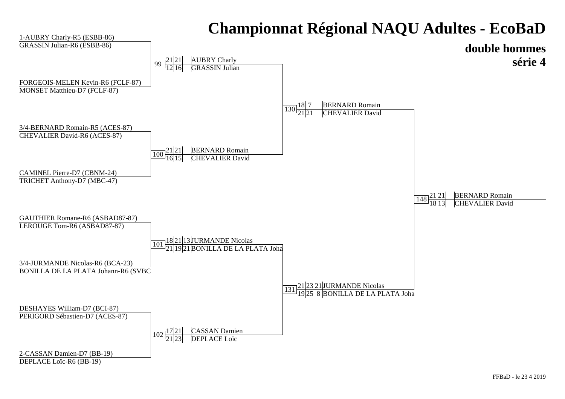#### **double hommes série 4**1-AUBRY Charly-R5 (ESBB-86) GRASSIN Julian-R6 (ESBB-86)3/4-BERNARD Romain-R5 (ACES-87)CHEVALIER David-R6 (ACES-87)FORGEOIS-MELEN Kevin-R6 (FCLF-87)MONSET Matthieu-D7 (FCLF-87)GAUTHIER Romane-R6 (ASBAD87-87)LEROUGE Tom-R6 (ASBAD87-87)CAMINEL Pierre-D7 (CBNM-24)148 $\sqrt{8}$   $\frac{21|21}{18|13}$ BERNARD Romain<br>CHEVALIER David  $\frac{130}{21}$  $\frac{18}{21}$  $\frac{7}{21}$ **BERNARD Romain**<br>CHEVALIER David  $\frac{99}{1211}$ AUBRY Charly<br>GRASSIN Julian 100 $\overline{0}\frac{21|21}{16|15}$ **BERNARD Romain**<br>CHEVALIER David 131 $\frac{1}{2} \frac{21 |23 |21}{19 |25 |8}$ JURMANDE Nicolas<br>BONILLA DE LA PLATA Joha 101 $1\overline{1}\overline{1}^{18\vert21\vert13\vert$ JURMANDE Nicolas<br> $1\overline{2}1\vert19\vert21\vert$ BONILLA DE LA PLATA Joha

TRICHET Anthony-D7 (MBC-47)

3/4-JURMANDE Nicolas-R6 (BCA-23)

BONILLA DE LA PLATA Johann-R6 (SVBC-23)

DESHAYES William-D7 (BCI-87)

PERIGORD Sébastien-D7 (ACES-87)

102 $2\frac{17}{21} \frac{21}{23}$ CASSAN Damien<br>DEPLACE Loïc

2-CASSAN Damien-D7 (BB-19)

DEPLACE Loïc-R6 (BB-19)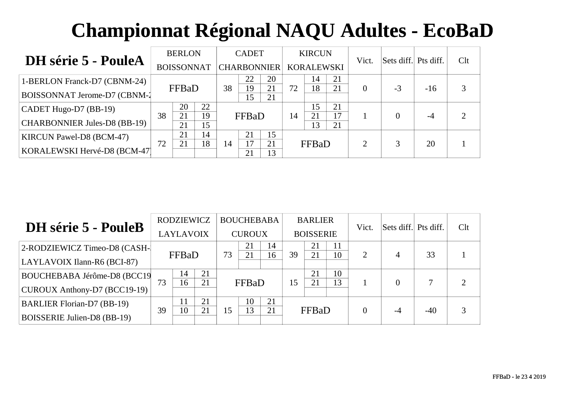| <b>DH</b> série 5 - PouleA          | <b>BERLON</b>     |          |          |                    | <b>CADET</b> |          | <b>KIRCUN</b>     |          |          | Vict. | Sets diff. Pts diff. |       | Clt |
|-------------------------------------|-------------------|----------|----------|--------------------|--------------|----------|-------------------|----------|----------|-------|----------------------|-------|-----|
|                                     | <b>BOISSONNAT</b> |          |          | <b>CHARBONNIER</b> |              |          | <b>KORALEWSKI</b> |          |          |       |                      |       |     |
| 1-BERLON Franck-D7 (CBNM-24)        |                   |          |          |                    | 22           | 20       |                   | 14       | 21       |       |                      |       |     |
| BOISSONNAT Jerome-D7 (CBNM-1        |                   | FFBaD    |          | 38                 | 19<br>15     | 21<br>21 | 72                | 18       | 21       | 0     | $-3$                 | $-16$ |     |
| $ $ CADET Hugo-D7 (BB-19)           |                   | 20       | 22       |                    |              |          | 14                | 15       | 21       |       |                      |       |     |
| <b>CHARBONNIER Jules-D8 (BB-19)</b> | 38                | 21<br>21 | 19<br>15 |                    | FFBaD        |          |                   | 21<br>13 | 17<br>21 |       |                      | $-4$  |     |
| <b>KIRCUN Pawel-D8 (BCM-47)</b>     |                   | 21       | 14       |                    | 21           | 15       |                   |          |          |       |                      |       |     |
| KORALEWSKI Hervé-D8 (BCM-47)        | 72                | 18<br>21 |          | 14                 | 17<br>21     | 21<br>13 |                   | FFBaD    |          |       | 3                    | 20    |     |

| DH série 5 - PouleB                |    | <b>RODZIEWICZ</b> |    |               | <b>BOUCHEBABA</b> |                       | <b>BARLIER</b>   |              |          | Vict. | Sets diff. Pts diff. |       | Clt |
|------------------------------------|----|-------------------|----|---------------|-------------------|-----------------------|------------------|--------------|----------|-------|----------------------|-------|-----|
|                                    |    | LAYLAVOIX         |    | <b>CUROUX</b> |                   |                       | <b>BOISSERIE</b> |              |          |       |                      |       |     |
| 2-RODZIEWICZ Timeo-D8 (CASH-       |    |                   |    | 73            | 21                | 14<br>16 <sup>1</sup> | 39               | 21<br>21     | 11<br>10 | 2     | 4                    | 33    |     |
| LAYLAVOIX Ilann-R6 (BCI-87)        |    | FFBaD             |    |               |                   |                       |                  |              |          |       |                      |       |     |
| BOUCHEBABA Jérôme-D8 (BCC19)       |    | 14                | 21 |               |                   |                       |                  | 21           | 10       |       |                      | 7     |     |
| CUROUX Anthony-D7 (BCC19-19)       | 73 | 16                | 21 |               | FFBaD             |                       | 15               | 21           | 13       |       | $\theta$             |       |     |
| <b>BARLIER Florian-D7 (BB-19)</b>  |    | 11                | 21 |               | 10                | 21                    |                  |              |          |       |                      |       |     |
| <b>BOISSERIE Julien-D8 (BB-19)</b> | 39 | 10                | 21 | 15            | 13                | 21                    |                  | <b>FFBaD</b> |          |       | $-4$                 | $-40$ |     |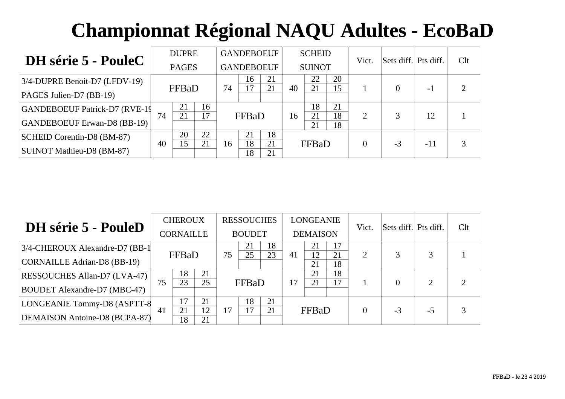| DH série 5 - PouleC                   | <b>DUPRE</b> |              |          |    | <b>GANDEBOEUF</b> |          | <b>SCHEID</b> |               |          | Vict.                 | Sets diff. Pts diff. |                | Clt |
|---------------------------------------|--------------|--------------|----------|----|-------------------|----------|---------------|---------------|----------|-----------------------|----------------------|----------------|-----|
|                                       |              | <b>PAGES</b> |          |    | <b>GANDEBOEUF</b> |          |               | <b>SUINOT</b> |          |                       |                      |                |     |
| $3/4$ -DUPRE Benoit-D7 (LFDV-19)      |              | FFBaD        |          | 74 | 16<br>17          | 21<br>21 | 40            | 22<br>21      | 20<br>15 |                       |                      |                |     |
| <b>PAGES Julien-D7 (BB-19)</b>        |              |              |          |    |                   |          |               |               |          |                       |                      | $\overline{a}$ |     |
| <b>GANDEBOEUF Patrick-D7 (RVE-19)</b> | 74           | 21<br>21     | 16<br>17 |    |                   |          |               | 18<br>21      | 21<br>18 | $\mathcal{D}_{\cdot}$ | 3                    | 12             |     |
| <b>GANDEBOEUF Erwan-D8 (BB-19)</b>    |              |              |          |    | FFBaD             |          | 16            | 21            | 18       |                       |                      |                |     |
| SCHEID Corentin-D8 (BM-87)            |              | 20           | 22       |    | 21                | 18       |               |               |          |                       |                      |                |     |
| SUINOT Mathieu-D8 (BM-87)             | 40           | 15           | 21       | 16 | 18<br>18          | 21<br>21 | FFBaD         |               | $\Omega$ | $-3$                  | $-11$                |                |     |

| <b>DH</b> série 5 - PouleD          |                  | <b>CHEROUX</b>       |    |               | <b>RESSOUCHES</b> |    | <b>LONGEANIE</b> |          |          | Vict. | Sets diff. Pts diff. |                | Clt           |
|-------------------------------------|------------------|----------------------|----|---------------|-------------------|----|------------------|----------|----------|-------|----------------------|----------------|---------------|
|                                     | <b>CORNAILLE</b> |                      |    | <b>BOUDET</b> |                   |    | <b>DEMAISON</b>  |          |          |       |                      |                |               |
| 3/4-CHEROUX Alexandre-D7 (BB-1)     |                  |                      |    |               | 21                | 18 |                  | 21       | 17       |       |                      |                |               |
| <b>CORNAILLE Adrian-D8 (BB-19)</b>  |                  | FFBaD                |    | 75<br>25      | 23                | 41 | 12<br>21         | 21<br>18 | 2        |       |                      |                |               |
| RESSOUCHES Allan-D7 (LVA-47)        |                  | 18                   | 21 |               |                   |    |                  | 21       | 18       |       |                      |                | $\mathcal{D}$ |
| <b>BOUDET Alexandre-D7 (MBC-47)</b> | 75               | 23                   | 25 | FFBaD         |                   |    | 17               | 21       | 17       |       | $\Omega$             | $\overline{2}$ |               |
| LONGEANIE Tommy-D8 (ASPTT-8         |                  | 17                   | 21 | 17            | 18                | 21 |                  |          |          |       |                      |                |               |
| DEMAISON Antoine-D8 (BCPA-87)       | 41               | 12<br>21<br>18<br>21 |    |               | 17                | 21 | FFBaD            |          | $\Omega$ | $-3$  | $-5$                 | 3              |               |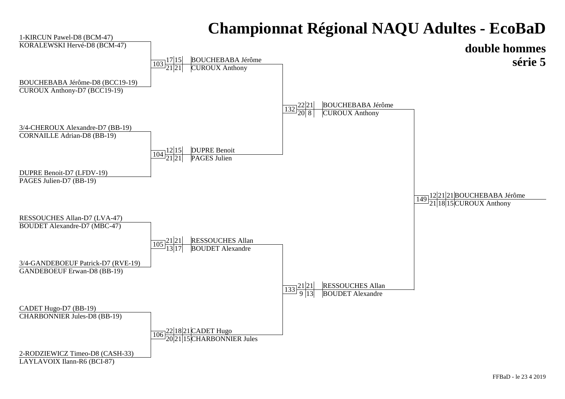

#### LAYLAVOIX Ilann-R6 (BCI-87)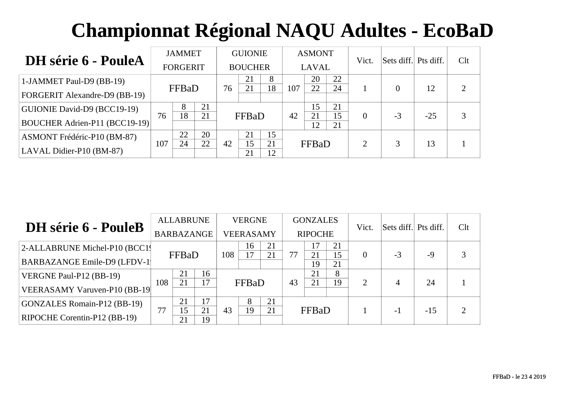| <b>DH</b> série 6 - PouleA           |                 | <b>JAMMET</b>         |          |                | <b>GUIONIE</b> |          | <b>ASMONT</b> |              |          | Vict.    | Sets diff. Pts diff. |       | Clt |  |
|--------------------------------------|-----------------|-----------------------|----------|----------------|----------------|----------|---------------|--------------|----------|----------|----------------------|-------|-----|--|
|                                      | <b>FORGERIT</b> |                       |          | <b>BOUCHER</b> |                |          |               | <b>LAVAL</b> |          |          |                      |       |     |  |
| 1-JAMMET Paul-D9 (BB-19)             |                 | FFBaD                 |          | 76             | 21<br>21       | 8<br>18  | 107           | 20<br>22     | 22<br>24 |          |                      | 12    |     |  |
| <b>FORGERIT Alexandre-D9 (BB-19)</b> |                 |                       |          |                |                |          |               |              |          |          |                      |       |     |  |
| GUIONIE David-D9 (BCC19-19)          |                 | 8                     | 21<br>21 |                |                |          |               | 15           | 21       |          | $-3$                 |       |     |  |
| BOUCHER Adrien-P11 (BCC19-19)        | 76              | 18                    |          |                | FFBaD          |          | 42            | 21<br>12     | 15<br>21 | $\Omega$ |                      | $-25$ |     |  |
| ASMONT Frédéric-P10 (BM-87)          |                 | 22                    | 20       |                | 21             | 15       |               |              |          |          |                      |       |     |  |
| LAVAL Didier-P10 (BM-87)             |                 | 22<br>107<br>24<br>42 |          |                | 15<br>21       | 21<br>12 | FFBaD         |              | ◠        | 3        | 13                   |       |     |  |

| <b>DH</b> série 6 - PouleB          |     | <b>ALLABRUNE</b>           |            |                  | <b>VERGNE</b> |    | <b>GONZALES</b> |          |          | Vict.          | Sets diff. Pts diff. |       | Clt |
|-------------------------------------|-----|----------------------------|------------|------------------|---------------|----|-----------------|----------|----------|----------------|----------------------|-------|-----|
|                                     |     |                            | BARBAZANGE | <b>VEERASAMY</b> |               |    | <b>RIPOCHE</b>  |          |          |                |                      |       |     |
| 2-ALLABRUNE Michel-P10 (BCC1)       |     |                            |            |                  | 16            | 21 |                 | 17       | 21       |                |                      |       |     |
| <b>BARBAZANGE Emile-D9 (LFDV-1)</b> |     | FFBaD                      |            | 108              | 17            | 21 | 77              | 21<br>19 | 15<br>21 | $\Omega$       | $-3$                 | -9    |     |
| VERGNE Paul-P12 (BB-19)             |     | 21                         | 16         |                  |               |    |                 | 21       | 8        |                |                      |       |     |
| VEERASAMY Varuven-P10 (BB-19)       | 108 | 21                         | 17         |                  | FFBaD         |    | 43              | 21       | 19       | $\overline{2}$ | 4                    | 24    |     |
| <b>GONZALES Romain-P12 (BB-19)</b>  |     | 21                         | 17         |                  | 8             | 21 |                 |          |          |                |                      |       |     |
| RIPOCHE Corentin-P12 (BB-19)        | 77  | 21<br>15<br>43<br>19<br>21 |            |                  | 19            | 21 |                 | FFBaD    |          |                | $-1$                 | $-15$ |     |